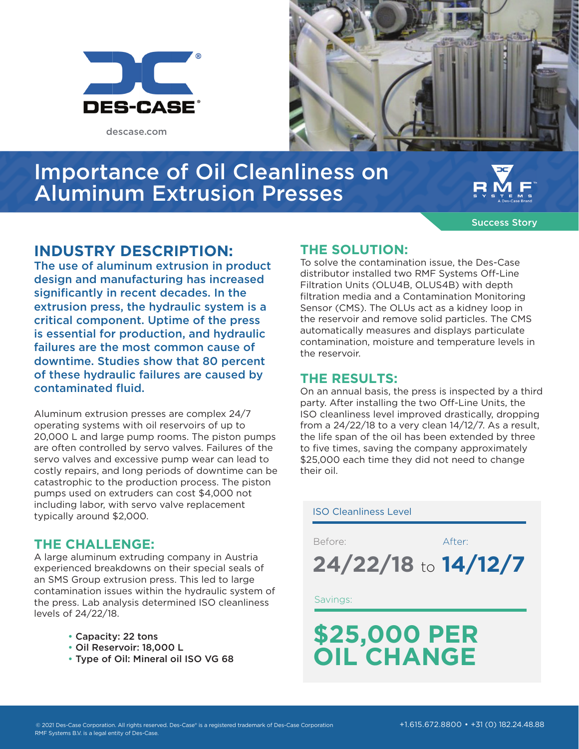

descase.com



# Importance of Oil Cleanliness on Aluminum Extrusion Presses



Success Story

## **INDUSTRY DESCRIPTION:**

The use of aluminum extrusion in product design and manufacturing has increased significantly in recent decades. In the extrusion press, the hydraulic system is a critical component. Uptime of the press is essential for production, and hydraulic failures are the most common cause of downtime. Studies show that 80 percent of these hydraulic failures are caused by contaminated fluid.

Aluminum extrusion presses are complex 24/7 operating systems with oil reservoirs of up to 20,000 L and large pump rooms. The piston pumps are often controlled by servo valves. Failures of the servo valves and excessive pump wear can lead to costly repairs, and long periods of downtime can be catastrophic to the production process. The piston pumps used on extruders can cost \$4,000 not including labor, with servo valve replacement typically around \$2,000.

## **THE CHALLENGE:**

A large aluminum extruding company in Austria experienced breakdowns on their special seals of an SMS Group extrusion press. This led to large contamination issues within the hydraulic system of the press. Lab analysis determined ISO cleanliness levels of 24/22/18.

- Capacity: 22 tons
- Oil Reservoir: 18,000 L
- Type of Oil: Mineral oil ISO VG 68

## **THE SOLUTION:**

To solve the contamination issue, the Des-Case distributor installed two RMF Systems Off-Line Filtration Units (OLU4B, OLUS4B) with depth filtration media and a Contamination Monitoring Sensor (CMS). The OLUs act as a kidney loop in the reservoir and remove solid particles. The CMS automatically measures and displays particulate contamination, moisture and temperature levels in the reservoir.

### **THE RESULTS:**

On an annual basis, the press is inspected by a third party. After installing the two Off-Line Units, the ISO cleanliness level improved drastically, dropping from a 24/22/18 to a very clean 14/12/7. As a result, the life span of the oil has been extended by three to five times, saving the company approximately \$25,000 each time they did not need to change their oil.

### ISO Cleanliness Level

Before: After:

**24/22/18** to **14/12/7**

### Savings:

# **\$25,000 PER OIL CHANGE**